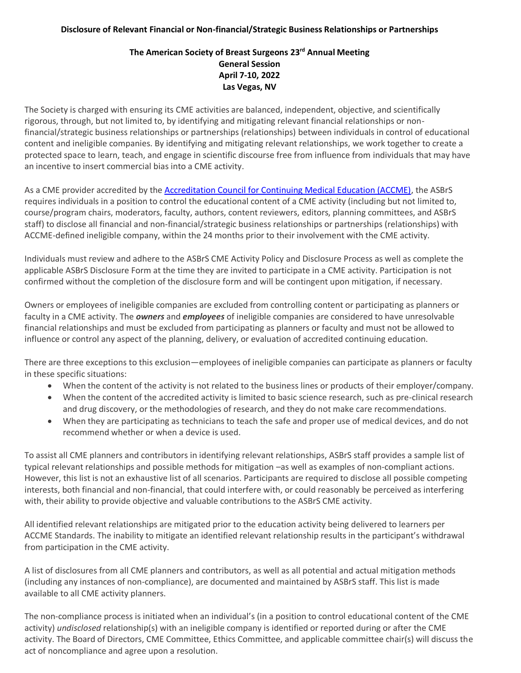## **Disclosure of Relevant Financial or Non-financial/Strategic Business Relationships or Partnerships**

## **The American Society of Breast Surgeons 23rd Annual Meeting General Session April 7-10, 2022 Las Vegas, NV**

The Society is charged with ensuring its CME activities are balanced, independent, objective, and scientifically rigorous, through, but not limited to, by identifying and mitigating relevant financial relationships or nonfinancial/strategic business relationships or partnerships (relationships) between individuals in control of educational content and ineligible companies. By identifying and mitigating relevant relationships, we work together to create a protected space to learn, teach, and engage in scientific discourse free from influence from individuals that may have an incentive to insert commercial bias into a CME activity.

As a CME provider accredited by the [Accreditation Council for Continuing Medical Education \(ACCME\),](https://accme.org/) the ASBrS requires individuals in a position to control the educational content of a CME activity (including but not limited to, course/program chairs, moderators, faculty, authors, content reviewers, editors, planning committees, and ASBrS staff) to disclose all financial and non-financial/strategic business relationships or partnerships (relationships) with ACCME-defined ineligible company, within the 24 months prior to their involvement with the CME activity.

Individuals must review and adhere to the ASBrS CME Activity Policy and Disclosure Process as well as complete the applicable ASBrS Disclosure Form at the time they are invited to participate in a CME activity. Participation is not confirmed without the completion of the disclosure form and will be contingent upon mitigation, if necessary.

Owners or employees of ineligible companies are excluded from controlling content or participating as planners or faculty in a CME activity. The *owners* and *employees* of ineligible companies are considered to have unresolvable financial relationships and must be excluded from participating as planners or faculty and must not be allowed to influence or control any aspect of the planning, delivery, or evaluation of accredited continuing education.

There are three exceptions to this exclusion—employees of ineligible companies can participate as planners or faculty in these specific situations:

- When the content of the activity is not related to the business lines or products of their employer/company.
- When the content of the accredited activity is limited to basic science research, such as pre-clinical research and drug discovery, or the methodologies of research, and they do not make care recommendations.
- When they are participating as technicians to teach the safe and proper use of medical devices, and do not recommend whether or when a device is used.

To assist all CME planners and contributors in identifying relevant relationships, ASBrS staff provides a sample list of typical relevant relationships and possible methods for mitigation –as well as examples of non-compliant actions. However, this list is not an exhaustive list of all scenarios. Participants are required to disclose all possible competing interests, both financial and non-financial, that could interfere with, or could reasonably be perceived as interfering with, their ability to provide objective and valuable contributions to the ASBrS CME activity.

All identified relevant relationships are mitigated prior to the education activity being delivered to learners per ACCME Standards. The inability to mitigate an identified relevant relationship results in the participant's withdrawal from participation in the CME activity.

A list of disclosures from all CME planners and contributors, as well as all potential and actual mitigation methods (including any instances of non-compliance), are documented and maintained by ASBrS staff. This list is made available to all CME activity planners.

The non-compliance process is initiated when an individual's (in a position to control educational content of the CME activity) *undisclosed* relationship(s) with an ineligible company is identified or reported during or after the CME activity. The Board of Directors, CME Committee, Ethics Committee, and applicable committee chair(s) will discuss the act of noncompliance and agree upon a resolution.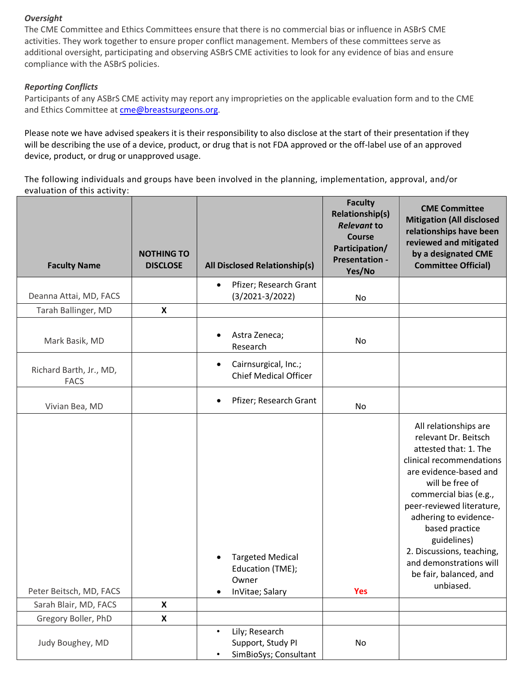## *Oversight*

The CME Committee and Ethics Committees ensure that there is no commercial bias or influence in ASBrS CME activities. They work together to ensure proper conflict management. Members of these committees serve as additional oversight, participating and observing ASBrS CME activities to look for any evidence of bias and ensure compliance with the ASBrS policies.

## *Reporting Conflicts*

Participants of any ASBrS CME activity may report any improprieties on the applicable evaluation form and to the CME and Ethics Committee at [cme@breastsurgeons.org.](mailto:cme@breastsurgeons.org)

Please note we have advised speakers it is their responsibility to also disclose at the start of their presentation if they will be describing the use of a device, product, or drug that is not FDA approved or the off-label use of an approved device, product, or drug or unapproved usage.

The following individuals and groups have been involved in the planning, implementation, approval, and/or evaluation of this activity:

| <b>Faculty Name</b>                    | <b>NOTHING TO</b><br><b>DISCLOSE</b> | All Disclosed Relationship(s)                                                          | <b>Faculty</b><br><b>Relationship(s)</b><br><b>Relevant to</b><br><b>Course</b><br>Participation/<br><b>Presentation -</b><br>Yes/No | <b>CME Committee</b><br><b>Mitigation (All disclosed</b><br>relationships have been<br>reviewed and mitigated<br>by a designated CME<br><b>Committee Official)</b>                                                                                                                                                                                              |
|----------------------------------------|--------------------------------------|----------------------------------------------------------------------------------------|--------------------------------------------------------------------------------------------------------------------------------------|-----------------------------------------------------------------------------------------------------------------------------------------------------------------------------------------------------------------------------------------------------------------------------------------------------------------------------------------------------------------|
| Deanna Attai, MD, FACS                 |                                      | Pfizer; Research Grant<br>$\bullet$<br>$(3/2021-3/2022)$                               | No                                                                                                                                   |                                                                                                                                                                                                                                                                                                                                                                 |
| Tarah Ballinger, MD                    | $\boldsymbol{\mathsf{x}}$            |                                                                                        |                                                                                                                                      |                                                                                                                                                                                                                                                                                                                                                                 |
| Mark Basik, MD                         |                                      | Astra Zeneca;<br>Research                                                              | No                                                                                                                                   |                                                                                                                                                                                                                                                                                                                                                                 |
| Richard Barth, Jr., MD,<br><b>FACS</b> |                                      | Cairnsurgical, Inc.;<br>$\bullet$<br><b>Chief Medical Officer</b>                      |                                                                                                                                      |                                                                                                                                                                                                                                                                                                                                                                 |
| Vivian Bea, MD                         |                                      | Pfizer; Research Grant<br>$\bullet$                                                    | No                                                                                                                                   |                                                                                                                                                                                                                                                                                                                                                                 |
| Peter Beitsch, MD, FACS                |                                      | <b>Targeted Medical</b><br>Education (TME);<br>Owner<br>InVitae; Salary<br>$\bullet$   | <b>Yes</b>                                                                                                                           | All relationships are<br>relevant Dr. Beitsch<br>attested that: 1. The<br>clinical recommendations<br>are evidence-based and<br>will be free of<br>commercial bias (e.g.,<br>peer-reviewed literature,<br>adhering to evidence-<br>based practice<br>guidelines)<br>2. Discussions, teaching,<br>and demonstrations will<br>be fair, balanced, and<br>unbiased. |
| Sarah Blair, MD, FACS                  | $\pmb{\mathsf{X}}$                   |                                                                                        |                                                                                                                                      |                                                                                                                                                                                                                                                                                                                                                                 |
| Gregory Boller, PhD                    | X                                    |                                                                                        |                                                                                                                                      |                                                                                                                                                                                                                                                                                                                                                                 |
| Judy Boughey, MD                       |                                      | Lily; Research<br>$\bullet$<br>Support, Study PI<br>SimBioSys; Consultant<br>$\bullet$ | No                                                                                                                                   |                                                                                                                                                                                                                                                                                                                                                                 |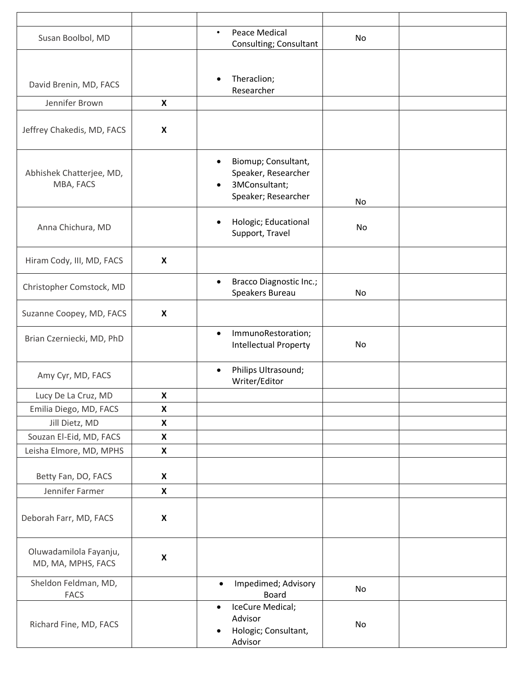| Susan Boolbol, MD                            |                           | Peace Medical<br>$\bullet$<br>Consulting; Consultant                                                         | No |  |
|----------------------------------------------|---------------------------|--------------------------------------------------------------------------------------------------------------|----|--|
|                                              |                           |                                                                                                              |    |  |
| David Brenin, MD, FACS                       |                           | Theraclion;<br>$\bullet$<br>Researcher                                                                       |    |  |
| Jennifer Brown                               | X                         |                                                                                                              |    |  |
| Jeffrey Chakedis, MD, FACS                   | $\boldsymbol{\mathsf{x}}$ |                                                                                                              |    |  |
| Abhishek Chatterjee, MD,<br>MBA, FACS        |                           | Biomup; Consultant,<br>$\bullet$<br>Speaker, Researcher<br>3MConsultant;<br>$\bullet$<br>Speaker; Researcher | No |  |
| Anna Chichura, MD                            |                           | Hologic; Educational<br>$\bullet$<br>Support, Travel                                                         | No |  |
| Hiram Cody, III, MD, FACS                    | X                         |                                                                                                              |    |  |
| Christopher Comstock, MD                     |                           | <b>Bracco Diagnostic Inc.;</b><br>$\bullet$<br>Speakers Bureau                                               | No |  |
| Suzanne Coopey, MD, FACS                     | $\boldsymbol{\mathsf{X}}$ |                                                                                                              |    |  |
| Brian Czerniecki, MD, PhD                    |                           | ImmunoRestoration;<br>$\bullet$<br><b>Intellectual Property</b>                                              | No |  |
| Amy Cyr, MD, FACS                            |                           | Philips Ultrasound;<br>$\bullet$<br>Writer/Editor                                                            |    |  |
| Lucy De La Cruz, MD                          | X                         |                                                                                                              |    |  |
| Emilia Diego, MD, FACS                       | X                         |                                                                                                              |    |  |
| Jill Dietz, MD                               | $\pmb{\mathsf{X}}$        |                                                                                                              |    |  |
| Souzan El-Eid, MD, FACS                      | $\pmb{\mathsf{X}}$        |                                                                                                              |    |  |
| Leisha Elmore, MD, MPHS                      | $\boldsymbol{\mathsf{X}}$ |                                                                                                              |    |  |
| Betty Fan, DO, FACS                          | $\pmb{\mathsf{X}}$        |                                                                                                              |    |  |
| Jennifer Farmer                              | $\boldsymbol{\mathsf{X}}$ |                                                                                                              |    |  |
| Deborah Farr, MD, FACS                       | $\pmb{\mathsf{X}}$        |                                                                                                              |    |  |
| Oluwadamilola Fayanju,<br>MD, MA, MPHS, FACS | X                         |                                                                                                              |    |  |
| Sheldon Feldman, MD,<br><b>FACS</b>          |                           | Impedimed; Advisory<br>$\bullet$<br><b>Board</b>                                                             | No |  |
| Richard Fine, MD, FACS                       |                           | IceCure Medical;<br>$\bullet$<br>Advisor<br>Hologic; Consultant,<br>Advisor                                  | No |  |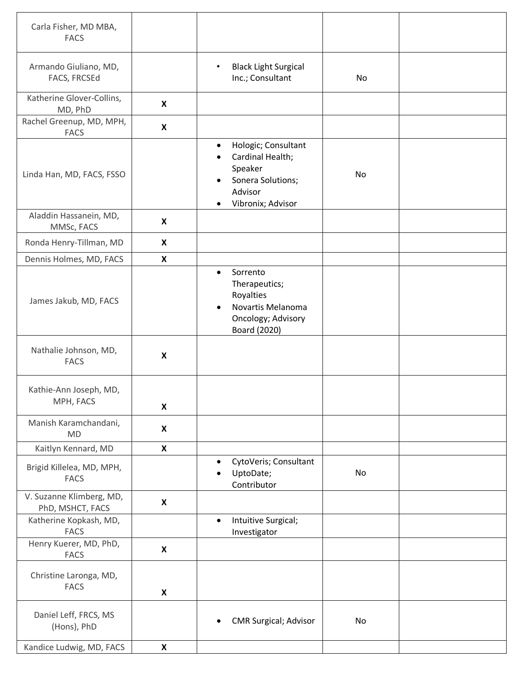| Carla Fisher, MD MBA,<br><b>FACS</b>         |                           |                                                                                                                                                |    |  |
|----------------------------------------------|---------------------------|------------------------------------------------------------------------------------------------------------------------------------------------|----|--|
| Armando Giuliano, MD,<br>FACS, FRCSEd        |                           | <b>Black Light Surgical</b><br>$\bullet$<br>Inc.; Consultant                                                                                   | No |  |
| Katherine Glover-Collins,<br>MD, PhD         | $\boldsymbol{\mathsf{X}}$ |                                                                                                                                                |    |  |
| Rachel Greenup, MD, MPH,<br><b>FACS</b>      | X                         |                                                                                                                                                |    |  |
| Linda Han, MD, FACS, FSSO                    |                           | Hologic; Consultant<br>$\bullet$<br>Cardinal Health;<br>$\bullet$<br>Speaker<br>Sonera Solutions;<br>Advisor<br>Vibronix; Advisor<br>$\bullet$ | No |  |
| Aladdin Hassanein, MD,<br>MMSc, FACS         | $\boldsymbol{\mathsf{X}}$ |                                                                                                                                                |    |  |
| Ronda Henry-Tillman, MD                      | X                         |                                                                                                                                                |    |  |
| Dennis Holmes, MD, FACS                      | $\boldsymbol{\mathsf{X}}$ |                                                                                                                                                |    |  |
| James Jakub, MD, FACS                        |                           | Sorrento<br>$\bullet$<br>Therapeutics;<br>Royalties<br>Novartis Melanoma<br>Oncology; Advisory<br>Board (2020)                                 |    |  |
| Nathalie Johnson, MD,<br><b>FACS</b>         | $\pmb{\mathsf{X}}$        |                                                                                                                                                |    |  |
| Kathie-Ann Joseph, MD,<br>MPH, FACS          | X                         |                                                                                                                                                |    |  |
| Manish Karamchandani,<br><b>MD</b>           | $\boldsymbol{\mathsf{X}}$ |                                                                                                                                                |    |  |
| Kaitlyn Kennard, MD                          | $\pmb{\mathsf{X}}$        |                                                                                                                                                |    |  |
| Brigid Killelea, MD, MPH,<br><b>FACS</b>     |                           | CytoVeris; Consultant<br>UptoDate;<br>$\bullet$<br>Contributor                                                                                 | No |  |
| V. Suzanne Klimberg, MD,<br>PhD, MSHCT, FACS | $\boldsymbol{\mathsf{X}}$ |                                                                                                                                                |    |  |
| Katherine Kopkash, MD,<br><b>FACS</b>        |                           | Intuitive Surgical;<br>$\bullet$<br>Investigator                                                                                               |    |  |
| Henry Kuerer, MD, PhD,<br><b>FACS</b>        | X                         |                                                                                                                                                |    |  |
| Christine Laronga, MD,<br><b>FACS</b>        | $\pmb{\mathsf{X}}$        |                                                                                                                                                |    |  |
| Daniel Leff, FRCS, MS<br>(Hons), PhD         |                           | <b>CMR Surgical; Advisor</b><br>$\bullet$                                                                                                      | No |  |
| Kandice Ludwig, MD, FACS                     | $\boldsymbol{\mathsf{X}}$ |                                                                                                                                                |    |  |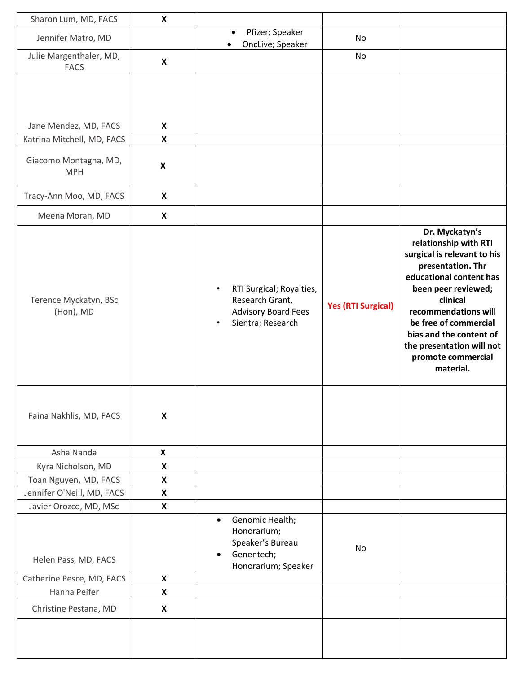| Sharon Lum, MD, FACS                                                         | $\boldsymbol{\mathsf{x}}$                              |                                                                                                      |                           |                                                                                                                                                                                                                                                                                                       |
|------------------------------------------------------------------------------|--------------------------------------------------------|------------------------------------------------------------------------------------------------------|---------------------------|-------------------------------------------------------------------------------------------------------------------------------------------------------------------------------------------------------------------------------------------------------------------------------------------------------|
| Jennifer Matro, MD                                                           |                                                        | Pfizer; Speaker<br>$\bullet$<br>OncLive; Speaker                                                     | No                        |                                                                                                                                                                                                                                                                                                       |
| Julie Margenthaler, MD,<br><b>FACS</b>                                       | X                                                      |                                                                                                      | No                        |                                                                                                                                                                                                                                                                                                       |
| Jane Mendez, MD, FACS<br>Katrina Mitchell, MD, FACS<br>Giacomo Montagna, MD, | $\boldsymbol{\mathsf{X}}$<br>$\boldsymbol{\mathsf{X}}$ |                                                                                                      |                           |                                                                                                                                                                                                                                                                                                       |
| <b>MPH</b>                                                                   | $\boldsymbol{\mathsf{x}}$                              |                                                                                                      |                           |                                                                                                                                                                                                                                                                                                       |
| Tracy-Ann Moo, MD, FACS                                                      | $\boldsymbol{\mathsf{X}}$                              |                                                                                                      |                           |                                                                                                                                                                                                                                                                                                       |
| Meena Moran, MD                                                              | X                                                      |                                                                                                      |                           |                                                                                                                                                                                                                                                                                                       |
| Terence Myckatyn, BSc<br>(Hon), MD                                           |                                                        | RTI Surgical; Royalties,<br>Research Grant,<br><b>Advisory Board Fees</b><br>Sientra; Research       | <b>Yes (RTI Surgical)</b> | Dr. Myckatyn's<br>relationship with RTI<br>surgical is relevant to his<br>presentation. Thr<br>educational content has<br>been peer reviewed;<br>clinical<br>recommendations will<br>be free of commercial<br>bias and the content of<br>the presentation will not<br>promote commercial<br>material. |
| Faina Nakhlis, MD, FACS                                                      | $\boldsymbol{\mathsf{x}}$                              |                                                                                                      |                           |                                                                                                                                                                                                                                                                                                       |
| Asha Nanda                                                                   | $\pmb{\mathsf{X}}$                                     |                                                                                                      |                           |                                                                                                                                                                                                                                                                                                       |
| Kyra Nicholson, MD                                                           | X                                                      |                                                                                                      |                           |                                                                                                                                                                                                                                                                                                       |
| Toan Nguyen, MD, FACS                                                        | $\boldsymbol{\mathsf{x}}$                              |                                                                                                      |                           |                                                                                                                                                                                                                                                                                                       |
| Jennifer O'Neill, MD, FACS                                                   | X                                                      |                                                                                                      |                           |                                                                                                                                                                                                                                                                                                       |
| Javier Orozco, MD, MSc<br>Helen Pass, MD, FACS                               | X                                                      | Genomic Health;<br>$\bullet$<br>Honorarium;<br>Speaker's Bureau<br>Genentech;<br>Honorarium; Speaker | No                        |                                                                                                                                                                                                                                                                                                       |
| Catherine Pesce, MD, FACS                                                    | $\boldsymbol{\mathsf{X}}$                              |                                                                                                      |                           |                                                                                                                                                                                                                                                                                                       |
| Hanna Peifer                                                                 | $\boldsymbol{\mathsf{X}}$                              |                                                                                                      |                           |                                                                                                                                                                                                                                                                                                       |
| Christine Pestana, MD                                                        | X                                                      |                                                                                                      |                           |                                                                                                                                                                                                                                                                                                       |
|                                                                              |                                                        |                                                                                                      |                           |                                                                                                                                                                                                                                                                                                       |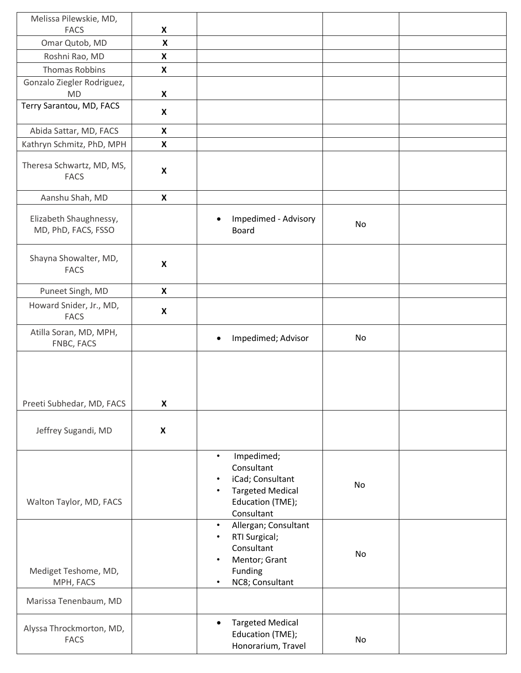| Melissa Pilewskie, MD,                        |                           |                                                                                                                                                  |    |  |
|-----------------------------------------------|---------------------------|--------------------------------------------------------------------------------------------------------------------------------------------------|----|--|
| <b>FACS</b>                                   | $\boldsymbol{\mathsf{X}}$ |                                                                                                                                                  |    |  |
| Omar Qutob, MD                                | $\pmb{\times}$            |                                                                                                                                                  |    |  |
| Roshni Rao, MD                                | X                         |                                                                                                                                                  |    |  |
| <b>Thomas Robbins</b>                         | $\boldsymbol{\mathsf{X}}$ |                                                                                                                                                  |    |  |
| Gonzalo Ziegler Rodriguez,<br><b>MD</b>       | X                         |                                                                                                                                                  |    |  |
| Terry Sarantou, MD, FACS                      | $\boldsymbol{\mathsf{X}}$ |                                                                                                                                                  |    |  |
| Abida Sattar, MD, FACS                        | X                         |                                                                                                                                                  |    |  |
| Kathryn Schmitz, PhD, MPH                     | $\boldsymbol{\mathsf{X}}$ |                                                                                                                                                  |    |  |
| Theresa Schwartz, MD, MS,<br><b>FACS</b>      | $\boldsymbol{\mathsf{X}}$ |                                                                                                                                                  |    |  |
| Aanshu Shah, MD                               | $\boldsymbol{\mathsf{X}}$ |                                                                                                                                                  |    |  |
| Elizabeth Shaughnessy,<br>MD, PhD, FACS, FSSO |                           | Impedimed - Advisory<br>$\bullet$<br><b>Board</b>                                                                                                | No |  |
| Shayna Showalter, MD,<br><b>FACS</b>          | $\boldsymbol{\mathsf{X}}$ |                                                                                                                                                  |    |  |
| Puneet Singh, MD                              | $\boldsymbol{\mathsf{X}}$ |                                                                                                                                                  |    |  |
| Howard Snider, Jr., MD,<br><b>FACS</b>        | $\boldsymbol{\mathsf{X}}$ |                                                                                                                                                  |    |  |
| Atilla Soran, MD, MPH,<br>FNBC, FACS          |                           | Impedimed; Advisor<br>$\bullet$                                                                                                                  | No |  |
|                                               |                           |                                                                                                                                                  |    |  |
| Preeti Subhedar, MD, FACS                     | $\boldsymbol{\mathsf{X}}$ |                                                                                                                                                  |    |  |
| Jeffrey Sugandi, MD                           | $\boldsymbol{\mathsf{X}}$ |                                                                                                                                                  |    |  |
| Walton Taylor, MD, FACS                       |                           | Impedimed;<br>$\bullet$<br>Consultant<br>iCad; Consultant<br>$\bullet$<br><b>Targeted Medical</b><br>$\bullet$<br>Education (TME);<br>Consultant | No |  |
| Mediget Teshome, MD,<br>MPH, FACS             |                           | Allergan; Consultant<br>$\bullet$<br>RTI Surgical;<br>$\bullet$<br>Consultant<br>Mentor; Grant<br>$\bullet$<br>Funding<br>NC8; Consultant        | No |  |
| Marissa Tenenbaum, MD                         |                           |                                                                                                                                                  |    |  |
| Alyssa Throckmorton, MD,<br><b>FACS</b>       |                           | <b>Targeted Medical</b><br>$\bullet$<br>Education (TME);<br>Honorarium, Travel                                                                   | No |  |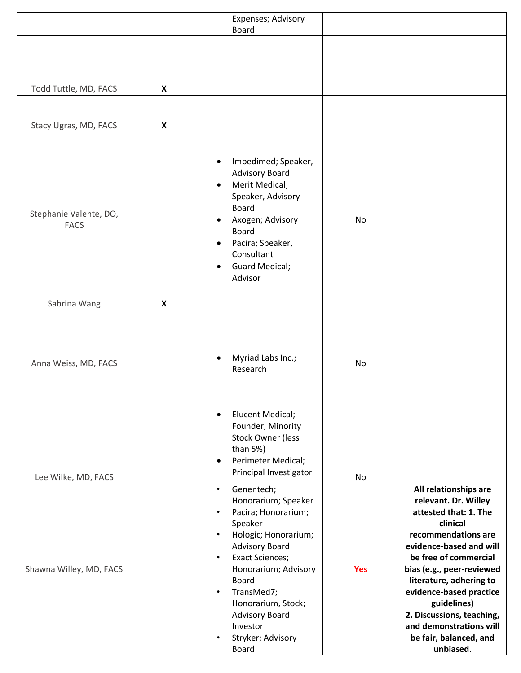|                                       |                           | Expenses; Advisory<br>Board                                                                                                                                                                                                                                                                                                                 |            |                                                                                                                                                                                                                                                                                                                                                                |
|---------------------------------------|---------------------------|---------------------------------------------------------------------------------------------------------------------------------------------------------------------------------------------------------------------------------------------------------------------------------------------------------------------------------------------|------------|----------------------------------------------------------------------------------------------------------------------------------------------------------------------------------------------------------------------------------------------------------------------------------------------------------------------------------------------------------------|
|                                       |                           |                                                                                                                                                                                                                                                                                                                                             |            |                                                                                                                                                                                                                                                                                                                                                                |
| Todd Tuttle, MD, FACS                 | X                         |                                                                                                                                                                                                                                                                                                                                             |            |                                                                                                                                                                                                                                                                                                                                                                |
| Stacy Ugras, MD, FACS                 | X                         |                                                                                                                                                                                                                                                                                                                                             |            |                                                                                                                                                                                                                                                                                                                                                                |
| Stephanie Valente, DO,<br><b>FACS</b> |                           | Impedimed; Speaker,<br>$\bullet$<br><b>Advisory Board</b><br>Merit Medical;<br>Speaker, Advisory<br><b>Board</b><br>Axogen; Advisory<br><b>Board</b><br>Pacira; Speaker,<br>Consultant<br><b>Guard Medical;</b><br>Advisor                                                                                                                  | No         |                                                                                                                                                                                                                                                                                                                                                                |
| Sabrina Wang                          | $\boldsymbol{\mathsf{X}}$ |                                                                                                                                                                                                                                                                                                                                             |            |                                                                                                                                                                                                                                                                                                                                                                |
| Anna Weiss, MD, FACS                  |                           | Myriad Labs Inc.;<br>Research                                                                                                                                                                                                                                                                                                               | No         |                                                                                                                                                                                                                                                                                                                                                                |
| Lee Wilke, MD, FACS                   |                           | <b>Elucent Medical;</b><br>$\bullet$<br>Founder, Minority<br><b>Stock Owner (less</b><br>than $5\%$ )<br>Perimeter Medical;<br>Principal Investigator                                                                                                                                                                                       | No         |                                                                                                                                                                                                                                                                                                                                                                |
| Shawna Willey, MD, FACS               |                           | Genentech;<br>$\bullet$<br>Honorarium; Speaker<br>Pacira; Honorarium;<br>Speaker<br>Hologic; Honorarium;<br>$\bullet$<br><b>Advisory Board</b><br><b>Exact Sciences;</b><br>Honorarium; Advisory<br><b>Board</b><br>TransMed7;<br>$\bullet$<br>Honorarium, Stock;<br><b>Advisory Board</b><br>Investor<br>Stryker; Advisory<br><b>Board</b> | <b>Yes</b> | All relationships are<br>relevant. Dr. Willey<br>attested that: 1. The<br>clinical<br>recommendations are<br>evidence-based and will<br>be free of commercial<br>bias (e.g., peer-reviewed<br>literature, adhering to<br>evidence-based practice<br>guidelines)<br>2. Discussions, teaching,<br>and demonstrations will<br>be fair, balanced, and<br>unbiased. |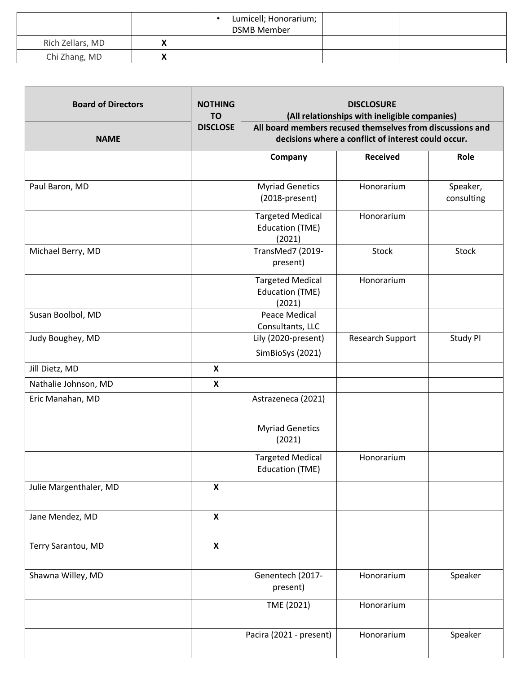|                  | Lumicell; Honorarium;<br><b>DSMB Member</b> |  |
|------------------|---------------------------------------------|--|
| Rich Zellars, MD |                                             |  |
| Chi Zhang, MD    |                                             |  |

| <b>Board of Directors</b> | <b>NOTHING</b><br><b>TO</b> | <b>DISCLOSURE</b><br>(All relationships with ineligible companies)                                               |                  |                        |
|---------------------------|-----------------------------|------------------------------------------------------------------------------------------------------------------|------------------|------------------------|
| <b>NAME</b>               | <b>DISCLOSE</b>             | All board members recused themselves from discussions and<br>decisions where a conflict of interest could occur. |                  |                        |
|                           |                             | Company                                                                                                          | <b>Received</b>  | Role                   |
| Paul Baron, MD            |                             | <b>Myriad Genetics</b><br>(2018-present)                                                                         | Honorarium       | Speaker,<br>consulting |
|                           |                             | <b>Targeted Medical</b><br><b>Education (TME)</b><br>(2021)                                                      | Honorarium       |                        |
| Michael Berry, MD         |                             | TransMed7 (2019-<br>present)                                                                                     | <b>Stock</b>     | Stock                  |
|                           |                             | <b>Targeted Medical</b><br><b>Education (TME)</b><br>(2021)                                                      | Honorarium       |                        |
| Susan Boolbol, MD         |                             | <b>Peace Medical</b><br>Consultants, LLC                                                                         |                  |                        |
| Judy Boughey, MD          |                             | Lily (2020-present)                                                                                              | Research Support | Study PI               |
|                           |                             | SimBioSys (2021)                                                                                                 |                  |                        |
| Jill Dietz, MD            | $\boldsymbol{x}$            |                                                                                                                  |                  |                        |
| Nathalie Johnson, MD      | $\boldsymbol{\mathsf{X}}$   |                                                                                                                  |                  |                        |
| Eric Manahan, MD          |                             | Astrazeneca (2021)                                                                                               |                  |                        |
|                           |                             | <b>Myriad Genetics</b><br>(2021)                                                                                 |                  |                        |
|                           |                             | <b>Targeted Medical</b><br><b>Education (TME)</b>                                                                | Honorarium       |                        |
| Julie Margenthaler, MD    | $\boldsymbol{\mathsf{x}}$   |                                                                                                                  |                  |                        |
| Jane Mendez, MD           | $\boldsymbol{\mathsf{x}}$   |                                                                                                                  |                  |                        |
| Terry Sarantou, MD        | $\boldsymbol{\mathsf{x}}$   |                                                                                                                  |                  |                        |
| Shawna Willey, MD         |                             | Genentech (2017-<br>present)                                                                                     | Honorarium       | Speaker                |
|                           |                             | TME (2021)                                                                                                       | Honorarium       |                        |
|                           |                             | Pacira (2021 - present)                                                                                          | Honorarium       | Speaker                |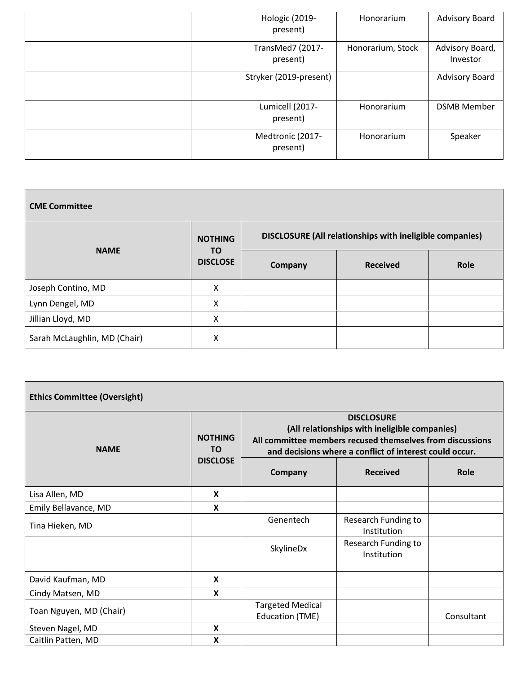| Hologic (2019-<br>present)   | Honorarium        | <b>Advisory Board</b>       |
|------------------------------|-------------------|-----------------------------|
| TransMed7 (2017-<br>present) | Honorarium, Stock | Advisory Board,<br>Investor |
| Stryker (2019-present)       |                   | <b>Advisory Board</b>       |
| Lumicell (2017-<br>present)  | Honorarium        | <b>DSMB Member</b>          |
| Medtronic (2017-<br>present) | Honorarium        | Speaker                     |

| <b>CME Committee</b>         |                                                |                                                                 |                 |      |  |
|------------------------------|------------------------------------------------|-----------------------------------------------------------------|-----------------|------|--|
| <b>NAME</b>                  | <b>NOTHING</b><br><b>TO</b><br><b>DISCLOSE</b> | <b>DISCLOSURE (All relationships with ineligible companies)</b> |                 |      |  |
|                              |                                                | <b>Company</b>                                                  | <b>Received</b> | Role |  |
| Joseph Contino, MD           | X                                              |                                                                 |                 |      |  |
| Lynn Dengel, MD              | X                                              |                                                                 |                 |      |  |
| Jillian Lloyd, MD            | X                                              |                                                                 |                 |      |  |
| Sarah McLaughlin, MD (Chair) | X                                              |                                                                 |                 |      |  |

| <b>Ethics Committee (Oversight)</b> |                       |                                                                                                                                                                                            |                                    |            |  |  |
|-------------------------------------|-----------------------|--------------------------------------------------------------------------------------------------------------------------------------------------------------------------------------------|------------------------------------|------------|--|--|
| <b>NAME</b>                         | <b>NOTHING</b><br>TO. | <b>DISCLOSURE</b><br>(All relationships with ineligible companies)<br>All committee members recused themselves from discussions<br>and decisions where a conflict of interest could occur. |                                    |            |  |  |
|                                     | <b>DISCLOSE</b>       | Company                                                                                                                                                                                    | <b>Received</b>                    | Role       |  |  |
| Lisa Allen, MD                      | $\mathbf x$           |                                                                                                                                                                                            |                                    |            |  |  |
| Emily Bellavance, MD                | X                     |                                                                                                                                                                                            |                                    |            |  |  |
| Tina Hieken, MD                     |                       | Genentech                                                                                                                                                                                  | Research Funding to<br>Institution |            |  |  |
|                                     |                       | SkylineDx                                                                                                                                                                                  | Research Funding to<br>Institution |            |  |  |
| David Kaufman, MD                   | X                     |                                                                                                                                                                                            |                                    |            |  |  |
| Cindy Matsen, MD                    | X                     |                                                                                                                                                                                            |                                    |            |  |  |
| Toan Nguyen, MD (Chair)             |                       | <b>Targeted Medical</b><br><b>Education (TME)</b>                                                                                                                                          |                                    | Consultant |  |  |
| Steven Nagel, MD                    | X                     |                                                                                                                                                                                            |                                    |            |  |  |
| Caitlin Patten, MD                  | X                     |                                                                                                                                                                                            |                                    |            |  |  |